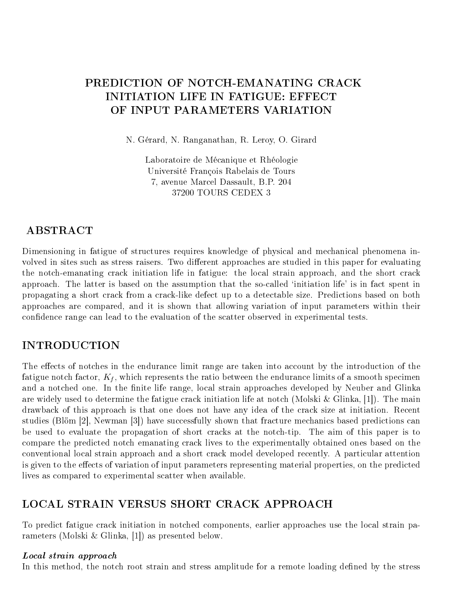# PREDICTION OF NOTCH-EMANATING CRACK **INITIATION LIFE IN FATIGUE: EFFECT** OF INPUT PARAMETERS VARIATION

N. Gérard, N. Ranganathan, R. Leroy, O. Girard

Laboratoire de Mécanique et Rhéologie Université François Rabelais de Tours 7, avenue Marcel Dassault, B.P. 204 37200 TOURS CEDEX 3

## **ABSTRACT**

Dimensioning in fatigue of structures requires knowledge of physical and mechanical phenomena involved in sites such as stress raisers. Two different approaches are studied in this paper for evaluating the notch-emanating crack initiation life in fatigue: the local strain approach, and the short crack approach. The latter is based on the assumption that the so-called `initiation life' is in fact spent in propagating a short crack from a crack-like defect up to a detectable size. Predictions based on both approaches are compared, and it is shown that allowing variation of input parameters within their confidence range can lead to the evaluation of the scatter observed in experimental tests.

## INTRODUCTION

The effects of notches in the endurance limit range are taken into account by the introduction of the fatigue notch factor,  $K_f$ , which represents the ratio between the endurance limits of a smooth specimen and a notched one. In the finite life range, local strain approaches developed by Neuber and Glinka are widely used to determine the fatigue crack initiation life at notch (Molski & Glinka, [1]). The main drawback of this approach is that one does not have any idea of the crack size at initiation. Recent studies (Blöm [2], Newman [3]) have successfully shown that fracture mechanics based predictions can be used to evaluate the propagation of short cracks at the notch-tip. The aim of this paper is to compare the predicted notch emanating crack lives to the experimentally obtained ones based on the conventional local strain approach and a short crack model developed recently. A particular attention is given to the effects of variation of input parameters representing material properties, on the predicted lives as compared to experimental scatter when available.

## LOCAL STRAIN VERSUS SHORT CRACK APPROACH

To predict fatigue crack initiation in notched components, earlier approaches use the local strain parameters (Molski & Glinka, [1]) as presented below.

#### Local strain approach

In this method, the notch root strain and stress amplitude for a remote loading defined by the stress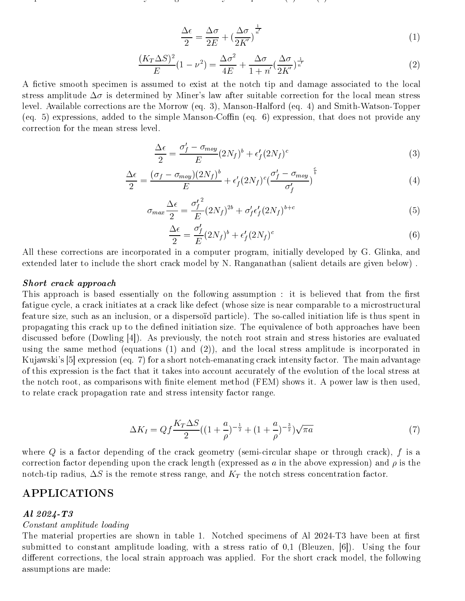$$
\frac{\Delta\epsilon}{2} = \frac{\Delta\sigma}{2E} + \left(\frac{\Delta\sigma}{2K'}\right)^{\frac{1}{n'}}
$$
\n(1)

$$
\frac{(K_T \Delta S)^2}{E} (1 - \nu^2) = \frac{\Delta \sigma^2}{4E} + \frac{\Delta \sigma}{1 + n'} \left(\frac{\Delta \sigma}{2K'}\right)^{\frac{1}{n'}} \tag{2}
$$

A fictive smooth specimen is assumed to exist at the notch tip and damage associated to the local stress amplitude  $\Delta \sigma$  is determined by Miner's law after suitable correction for the local mean stress level. Available corrections are the Morrow (eq. 3), Manson-Halford (eq. 4) and Smith-Watson-Topper (eq. 5) expressions, added to the simple Manson-Coffin (eq. 6) expression, that does not provide any correction for the mean stress level.

$$
\frac{\Delta\epsilon}{2} = \frac{\sigma_f' - \sigma_{moy}}{E} (2N_f)^b + \epsilon_f' (2N_f)^c \tag{3}
$$

$$
\frac{\Delta\epsilon}{2} = \frac{(\sigma_f - \sigma_{moy})(2N_f)^b}{E} + \epsilon_f'(2N_f)^c \left(\frac{\sigma_f' - \sigma_{moy}}{\sigma_f'}\right)^{\frac{c}{b}} \tag{4}
$$

$$
\sigma_{max} \frac{\Delta \epsilon}{2} = \frac{{\sigma'_f}^2}{E} (2N_f)^{2b} + \sigma'_f \epsilon'_f (2N_f)^{b+c} \tag{5}
$$

$$
\frac{\Delta\epsilon}{2} = \frac{\sigma_f'}{E} (2N_f)^b + \epsilon_f' (2N_f)^c \tag{6}
$$

All these corrections are incorporated in a computer program, initially developed by G. Glinka, and extended later to include the short crack model by N. Ranganathan (salient details are given below) .

#### Short crack approach

This approach is based essentially on the following assumption : it is believed that from the first fatigue cycle, a crack initiates at a crack like defect (whose size is near comparable to a microstructural feature size, such asan inclusion, or a dispersoïd particle). The so-called initiation life is thus spent in propagating this crack up to the defined initiation size. The equivalence of both approaches have been discussed before (Dowling [4]). As previously, the notch root strain and stress histories are evaluated using the same method (equations (1) and (2)), and the local stress amplitude is incorporated in Kujawski's [5] expression (eq. 7) for a short notch-emanating crack intensity factor. The main advantage of this expression is the fact that it takes into account accurately of the evolution of the local stress at the notch root, as comparisons with finite element method (FEM) shows it. A power law is then used, to relate crack propagation rate and stress intensity factor range.

$$
\Delta K_I = Qf \frac{K_T \Delta S}{2} \left( \left( 1 + \frac{a}{\rho} \right)^{-\frac{1}{2}} + \left( 1 + \frac{a}{\rho} \right)^{-\frac{3}{2}} \right) \sqrt{\pi a} \tag{7}
$$

where  $Q$  is a factor depending of the crack geometry (semi-circular shape or through crack),  $f$  is a correction factor depending upon the crack length (expressed as a in the above expression) and  $\rho$  is the notch-tip radius,  $\Delta S$  is the remote stress range, and  $K_T$  the notch stress concentration factor.

## APPLICATIONS

#### Al 2024-T3

#### Constant amplitude loading

The material properties are shown in table 1. Notched specimens of Al 2024-T3 have been at first submitted to constant amplitude loading, with a stress ratio of 0,1 (Bleuzen, [6]). Using the four different corrections, the local strain approach was applied. For the short crack model, the following assumptions are made: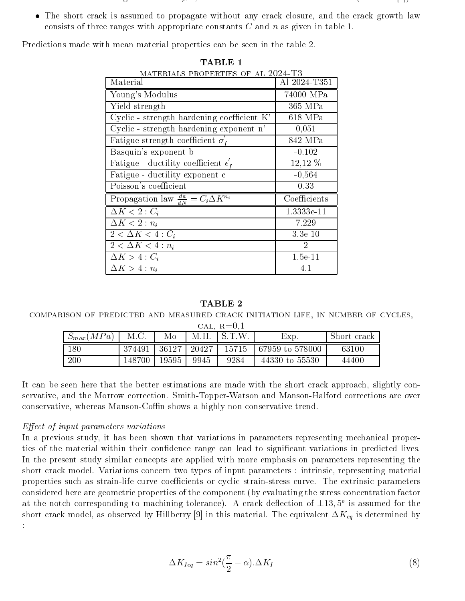- The initial crack length is about 10m, close to related data found in literature (Newman [7]).
- The short crack is assumed to propagate without any crack closure, and the crack growth law consists of three ranges with appropriate constants  $C$  and  $n$  as given in table 1.

Predictions made with mean material properties can be seen in the table 2.

| MATERIALS PROPERTIES OF AL 2024-T3                   |               |
|------------------------------------------------------|---------------|
| Material                                             | Al 2024-T351  |
| Young's Modulus                                      | 74000 MPa     |
| Yield strength                                       | 365 MPa       |
| Cyclic - strength hardening coefficient K'           | 618 MPa       |
| Cyclic - strength hardening exponent n'              | 0,051         |
| Fatigue strength coefficient $\sigma'_t$             | 842 MPa       |
| Basquin's exponent b                                 | $-0.102$      |
| Fatigue - ductility coefficient $\epsilon'_{\ell}$   | 12,12 %       |
| Fatigue - ductility exponent c                       | $-0,564$      |
| Poisson's coefficient                                | 0.33          |
| Propagation law $\frac{da}{dN} = C_i \Delta K^{n_i}$ | Coefficients  |
| $\Delta K < 2:C_i$                                   | 1.3333e-11    |
| $\Delta K < 2 : n_i$                                 | 7.229         |
| $2 < \Delta K < 4 : C_i$                             | $3.3e-10$     |
| $2 < \Delta K < 4 : n_i$                             | $\mathcal{D}$ |
| $\Delta K > 4:C_i$                                   | $1.5e-11$     |
| $\Delta K > 4:n_i$                                   | 4.1           |

TABLE 1

#### TABLE 2

comparison of predicted and measured crack initiation life, in number of cycles,

| CAL, $R=0.1$ |
|--------------|
|              |

| MPa)<br>$\omega_{max}$ |        | Mо    |       | ТW        | EXP.            | Short crack |
|------------------------|--------|-------|-------|-----------|-----------------|-------------|
| 180                    | 374491 | 36127 | 20427 | $15715\,$ | 67959 to 578000 | 63100       |
| 200                    | .48700 | 19595 | 9945  | 9284      | 44330 to 55530  | 44400       |

It can be seen here that the better estimations are made with the short crack approach, slightly conservative, and the Morrow correction. Smith-Topper-Watson and Manson-Halford corrections are over conservative, whereas Manson-Coffin shows a highly non conservative trend.

### $Effect of input parameters variations$

In a previous study, it has been shown that variations in parameters representing mechanical properties of the material within their confidence range can lead to significant variations in predicted lives. In the present study similar concepts are applied with more emphasis on parameters representing the short crack model. Variations concern two types of input parameters : intrinsic, representing material properties such as strain-life curve coefficients or cyclic strain-stress curve. The extrinsic parameters considered here are geometric properties of the component (by evaluating the stress concentration factor at the notch corresponding to machining tolerance). A crack deflection of  $\pm$ 15,900 is assumed for the short crack model, as observed by Hillberry [9] in this material. The equivalent  $\Delta K_{eq}$  is determined by :

$$
\Delta K_{Ieq} = \sin^2(\frac{\pi}{2} - \alpha) . \Delta K_I \tag{8}
$$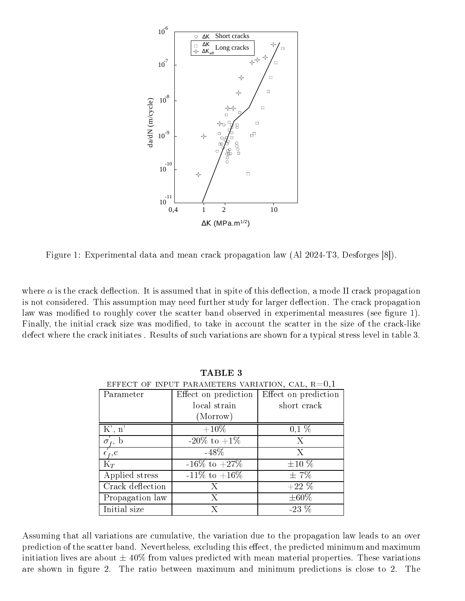

Figure 1: Experimental data and mean crack propagation law (Al 2024-T3, Desforges [8]).

where  $\alpha$  is the crack deflection. It is assumed that in spite of this deflection, a mode II crack propagation is not considered. This assumption may need further study for larger deflection. The crack propagation law was modified to roughly cover the scatter band observed in experimental measures (see figure 1). Finally, the initial crack size was modified, to take in account the scatter in the size of the crack-like defect where the crack initiates . Results of such variations are shown for a typical stress level in table 3.

| EFFECT OF INPUT PARAMETERS VARIATION, CAL, $R=0,1$ |                      |                      |  |  |  |  |
|----------------------------------------------------|----------------------|----------------------|--|--|--|--|
| Parameter                                          | Effect on prediction | Effect on prediction |  |  |  |  |
|                                                    | local strain         | short crack          |  |  |  |  |
|                                                    | (Morrow)             |                      |  |  |  |  |
| K', n'                                             | $+10\%$              | $0,1\%$              |  |  |  |  |
| $\sigma_f$ , b                                     | $-20\%$ to $+1\%$    | Χ                    |  |  |  |  |
| $\epsilon_{f}$ , c                                 | $-48\%$              | Х                    |  |  |  |  |
| $K_T$                                              | $-16\%$ to $+27\%$   | $\pm 10\%$           |  |  |  |  |
| Applied stress                                     | $-11\%$ to $+16\%$   | $\pm 7\%$            |  |  |  |  |
| Crack deflection                                   | Х                    | $+22\%$              |  |  |  |  |
| Propagation law                                    | X                    | $\pm 60\%$           |  |  |  |  |
| Initial size                                       | X                    | $-23\%$              |  |  |  |  |

TABLE 3

Assuming that all variations are cumulative, the variation due to the propagation law leads to an over prediction of the scatter band. Nevertheless, excluding this effect, the predicted minimum and maximum initiation lives are about  $\pm 40\%$  from values predicted with mean material properties. These variations are shown in figure 2. The ratio between maximum and minimum predictions is close to 2. The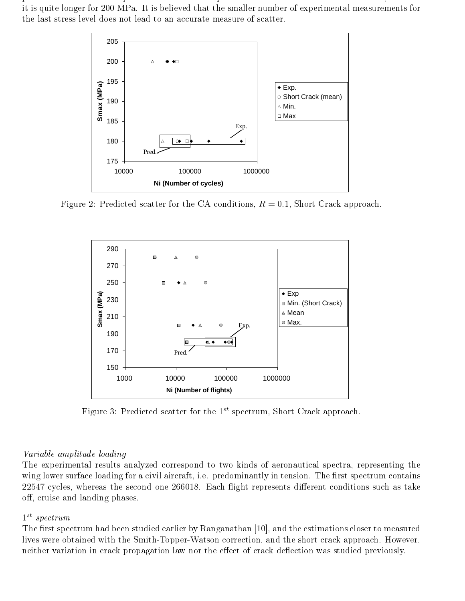predicted scatter band is quite shorter than the experimental one for the 180 MPa stress level, whereas it is quite longer for 200 MPa. It is believed that the smaller number of experimental measurements for the last stress level does not lead to an accurate measure of scatter.



Figure 2: Predicted scatter for the CA conditions,  $R = 0.1$ , Short Crack approach.



Figure 3: Predicted scatter for the  $1^{st}$  spectrum, Short Crack approach.

## Variable amplitude loading

The experimental results analyzed correspond to two kinds of aeronautical spectra, representing the wing lower surface loading for a civil aircraft, i.e. predominantly in tension. The first spectrum contains 22547 cycles, whereas the second one 266018. Each flight represents different conditions such as take off, cruise and landing phases.

# $1^{st}$  spectrum

The first spectrum had been studied earlier by Ranganathan [10], and the estimations closer to measured lives were obtained with the Smith-Topper-Watson correction, and the short crack approach. However, neither variation in crack propagation law nor the effect of crack deflection was studied previously.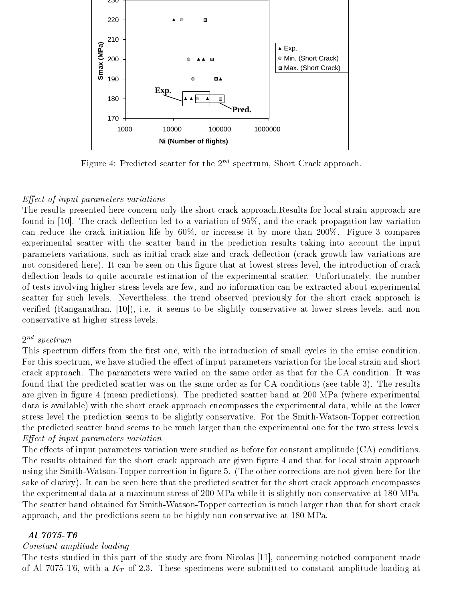

Figure 4: Predicted scatter for the  $2^{nd}$  spectrum, Short Crack approach.

### $Effect of input parameters variations$

The results presented here concern only the short crack approach.Results for local strain approach are found in [10]. The crack deflection led to a variation of  $95\%$ , and the crack propagation law variation can reduce the crack initiation life by 60%, or increase it by more than 200%. Figure 3 compares experimental scatter with the scatter band in the prediction results taking into account the input parameters variations, such as initial crack size and crack deflection (crack growth law variations are not considered here). It can be seen on this figure that at lowest stress level, the introduction of crack deflection leads to quite accurate estimation of the experimental scatter. Unfortunately, the number of tests involving higher stress levels are few, and no information can be extracted about experimental scatter for such levels. Nevertheless, the trend observed previously for the short crack approach is verified (Ranganathan, [10]), i.e. it seems to be slightly conservative at lower stress levels, and non conservative at higher stress levels.

### $2^{nd}$  spectrum

This spectrum differs from the first one, with the introduction of small cycles in the cruise condition. For this spectrum, we have studied the effect of input parameters variation for the local strain and short crack approach. The parameters were varied on the same order as that for the CA condition. It was found that the predicted scatter was on the same order as for CA conditions (see table 3). The results are given in figure 4 (mean predictions). The predicted scatter band at 200 MPa (where experimental data is available) with the short crack approach encompasses the experimental data, while at the lower stress level the prediction seems to be slightly conservative. For the Smith-Watson-Topper correction the predicted scatter band seems to be much larger than the experimental one for the two stress levels.  $Effect of input parameters variation$ 

The effects of input parameters variation were studied as before for constant amplitude (CA) conditions. The results obtained for the short crack approach are given figure 4 and that for local strain approach using the Smith-Watson-Topper correction in figure 5. (The other corrections are not given here for the sake of clariry). It can be seen here that the predicted scatter for the short crack approach encompasses the experimental data at a maximum stress of 200 MPa while it is slightly non conservative at 180 MPa. The scatter band obtained for Smith-Watson-Topper correction is much larger than that for short crack approach, and the predictions seem to be highly non conservative at 180 MPa.

### Al 7075-T6

## Constant amplitude loading

The tests studied in this part of the study are from Nicolas [11], concerning notched component made of Al 7075-T6, with a  $K_T$  of 2.3. These specimens were submitted to constant amplitude loading at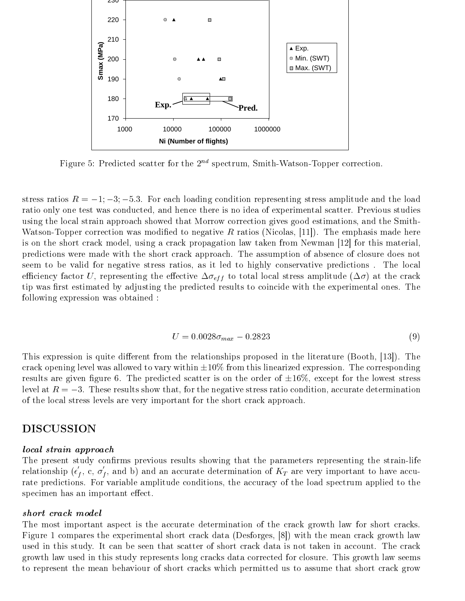

Figure 5: Predicted scatter for the  $2^{nd}$  spectrum, Smith-Watson-Topper correction.

stress ratios  $R = -1; -3; -5.3$ . For each loading condition representing stress amplitude and the load ratio only one test was conducted, and hence there is no idea of experimental scatter. Previous studies using the local strain approach showed that Morrow correction gives good estimations, and the Smith-Watson-Topper correction was modified to negative R ratios (Nicolas, [11]). The emphasis made here is on the short crack model, using a crack propagation law taken from Newman [12] for this material, predictions were made with the short crack approach. The assumption of absence of closure does not seem to be valid for negative stress ratios, as it led to highly conservative predictions . The local efficiency factor U, representing the effective  $\Delta \sigma_{eff}$  to total local stress amplitude  $(\Delta \sigma)$  at the crack tip was first estimated by adjusting the predicted results to coincide with the experimental ones. The following expression was obtained :

$$
U = 0.0028\sigma_{max} - 0.2823\tag{9}
$$

This expression is quite different from the relationships proposed in the literature (Booth,  $|13|$ ). The crack opening level was allowed to vary within  $\pm 10\%$  from this linearized expression. The corresponding results are given figure 6. The predicted scatter is on the order of  $\pm 16\%$ , except for the lowest stress level at  $R = -3$ . These results show that, for the negative stress ratio condition, accurate determination of the local stress levels are very important for the short crack approach.

## DISCUSSION

#### local strain approach

The present study confirms previous results showing that the parameters representing the strain-life relationship ( $\epsilon_f$ , c,  $\sigma_f$ , and b) and an accurate determination of  $K_T$  are very important to have accurate predictions. For variable amplitude conditions, the accuracy of the load spectrum applied to the specimen has an important effect.

### short crack model

The most important aspect is the accurate determination of the crack growth law for short cracks. Figure 1 compares the experimental short crack data (Desforges, [8]) with the mean crack growth law used in this study. It can be seen that scatter of short crack data is not taken in account. The crack growth law used in this study represents long cracks data corrected for closure. This growth law seems to represent the mean behaviour of short cracks which permitted us to assume that short crack grow